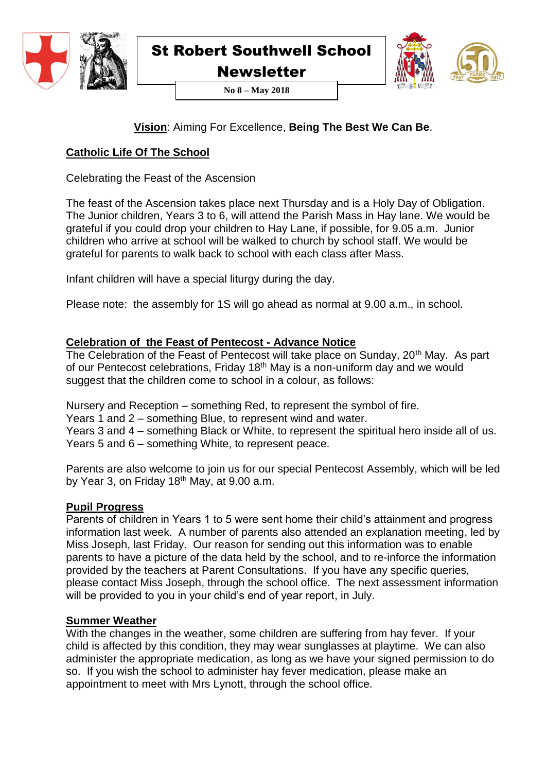

**Newsletter** 



**No 8 – May 2018**

# **Vision**: Aiming For Excellence, **Being The Best We Can Be**.

# **Catholic Life Of The School**

Celebrating the Feast of the Ascension

The feast of the Ascension takes place next Thursday and is a Holy Day of Obligation. The Junior children, Years 3 to 6, will attend the Parish Mass in Hay lane. We would be grateful if you could drop your children to Hay Lane, if possible, for 9.05 a.m. Junior children who arrive at school will be walked to church by school staff. We would be grateful for parents to walk back to school with each class after Mass.

Infant children will have a special liturgy during the day.

Please note: the assembly for 1S will go ahead as normal at 9.00 a.m., in school.

# **Celebration of the Feast of Pentecost - Advance Notice**

The Celebration of the Feast of Pentecost will take place on Sunday, 20<sup>th</sup> May. As part of our Pentecost celebrations, Friday 18th May is a non-uniform day and we would suggest that the children come to school in a colour, as follows:

Nursery and Reception – something Red, to represent the symbol of fire.

Years 1 and 2 – something Blue, to represent wind and water.

Years 3 and 4 – something Black or White, to represent the spiritual hero inside all of us. Years 5 and 6 – something White, to represent peace.

Parents are also welcome to join us for our special Pentecost Assembly, which will be led by Year 3, on Friday  $18<sup>th</sup>$  May, at 9.00 a.m.

#### **Pupil Progress**

Parents of children in Years 1 to 5 were sent home their child's attainment and progress information last week. A number of parents also attended an explanation meeting, led by Miss Joseph, last Friday. Our reason for sending out this information was to enable parents to have a picture of the data held by the school, and to re-inforce the information provided by the teachers at Parent Consultations. If you have any specific queries, please contact Miss Joseph, through the school office. The next assessment information will be provided to you in your child's end of year report, in July.

# **Summer Weather**

With the changes in the weather, some children are suffering from hay fever. If your child is affected by this condition, they may wear sunglasses at playtime. We can also administer the appropriate medication, as long as we have your signed permission to do so. If you wish the school to administer hay fever medication, please make an appointment to meet with Mrs Lynott, through the school office.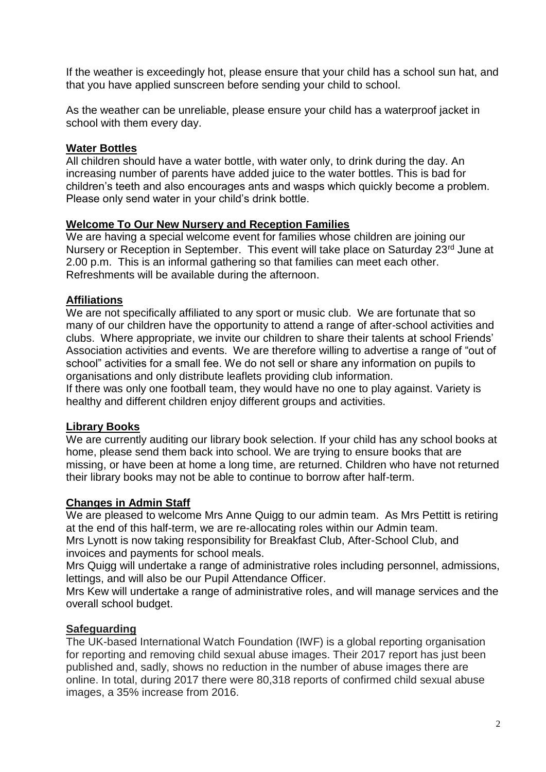If the weather is exceedingly hot, please ensure that your child has a school sun hat, and that you have applied sunscreen before sending your child to school.

As the weather can be unreliable, please ensure your child has a waterproof jacket in school with them every day.

#### **Water Bottles**

All children should have a water bottle, with water only, to drink during the day. An increasing number of parents have added juice to the water bottles. This is bad for children's teeth and also encourages ants and wasps which quickly become a problem. Please only send water in your child's drink bottle.

#### **Welcome To Our New Nursery and Reception Families**

We are having a special welcome event for families whose children are joining our Nursery or Reception in September. This event will take place on Saturday 23<sup>rd</sup> June at 2.00 p.m. This is an informal gathering so that families can meet each other. Refreshments will be available during the afternoon.

# **Affiliations**

We are not specifically affiliated to any sport or music club. We are fortunate that so many of our children have the opportunity to attend a range of after-school activities and clubs. Where appropriate, we invite our children to share their talents at school Friends' Association activities and events. We are therefore willing to advertise a range of "out of school" activities for a small fee. We do not sell or share any information on pupils to organisations and only distribute leaflets providing club information.

If there was only one football team, they would have no one to play against. Variety is healthy and different children enjoy different groups and activities.

#### **Library Books**

We are currently auditing our library book selection. If your child has any school books at home, please send them back into school. We are trying to ensure books that are missing, or have been at home a long time, are returned. Children who have not returned their library books may not be able to continue to borrow after half-term.

#### **Changes in Admin Staff**

We are pleased to welcome Mrs Anne Quigg to our admin team. As Mrs Pettitt is retiring at the end of this half-term, we are re-allocating roles within our Admin team.

Mrs Lynott is now taking responsibility for Breakfast Club, After-School Club, and invoices and payments for school meals.

Mrs Quigg will undertake a range of administrative roles including personnel, admissions, lettings, and will also be our Pupil Attendance Officer.

Mrs Kew will undertake a range of administrative roles, and will manage services and the overall school budget.

# **Safeguarding**

The UK-based International Watch Foundation (IWF) is a global reporting organisation for reporting and removing child sexual abuse images. Their 2017 report has just been published and, sadly, shows no reduction in the number of abuse images there are online. In total, during 2017 there were 80,318 reports of confirmed child sexual abuse images, a 35% increase from 2016.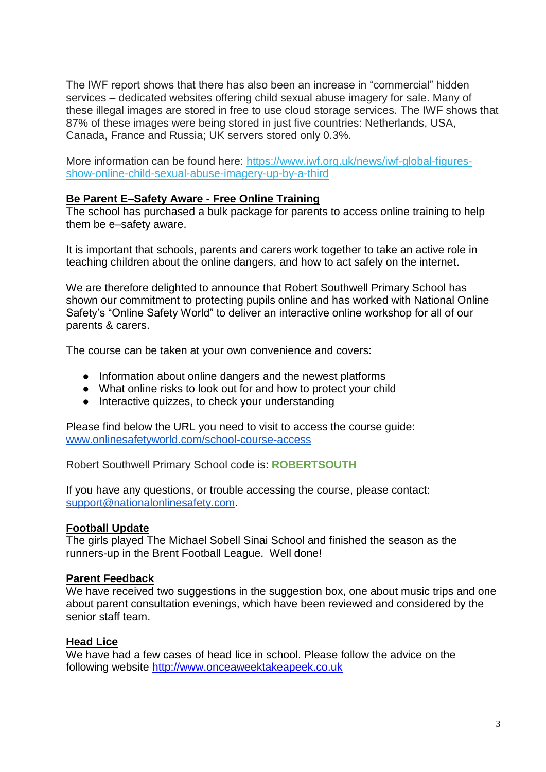The IWF report shows that there has also been an increase in "commercial" hidden services – dedicated websites offering child sexual abuse imagery for sale. Many of these illegal images are stored in free to use cloud storage services. The IWF shows that 87% of these images were being stored in just five countries: Netherlands, USA, Canada, France and Russia; UK servers stored only 0.3%.

More information can be found here: [https://www.iwf.org.uk/news/iwf-global-figures](https://safeguardinginschools.us12.list-manage.com/track/click?u=efe032677d94ceba51dd39a7f&id=fa6c1c3288&e=786386a131)[show-online-child-sexual-abuse-imagery-up-by-a-third](https://safeguardinginschools.us12.list-manage.com/track/click?u=efe032677d94ceba51dd39a7f&id=fa6c1c3288&e=786386a131)

#### **Be Parent E–Safety Aware - Free Online Training**

The school has purchased a bulk package for parents to access online training to help them be e–safety aware.

It is important that schools, parents and carers work together to take an active role in teaching children about the online dangers, and how to act safely on the internet.

We are therefore delighted to announce that Robert Southwell Primary School has shown our commitment to protecting pupils online and has worked with National Online Safety's "Online Safety World" to deliver an interactive online workshop for all of our parents & carers.

The course can be taken at your own convenience and covers:

- Information about online dangers and the newest platforms
- What online risks to look out for and how to protect your child
- Interactive quizzes, to check your understanding

Please find below the URL you need to visit to access the course guide: [www.onlinesafetyworld.com/school-course-access](http://www.onlinesafetyworld.com/school-course-access)

Robert Southwell Primary School code is: **ROBERTSOUTH**

If you have any questions, or trouble accessing the course, please contact: [support@nationalonlinesafety.com.](mailto:support@nationalonlinesafety.com)

#### **Football Update**

The girls played The Michael Sobell Sinai School and finished the season as the runners-up in the Brent Football League. Well done!

#### **Parent Feedback**

We have received two suggestions in the suggestion box, one about music trips and one about parent consultation evenings, which have been reviewed and considered by the senior staff team.

#### **Head Lice**

We have had a few cases of head lice in school. Please follow the advice on the following website [http://www.onceaweektakeapeek.co.uk](http://www.onceaweektakeapeek.co.uk/)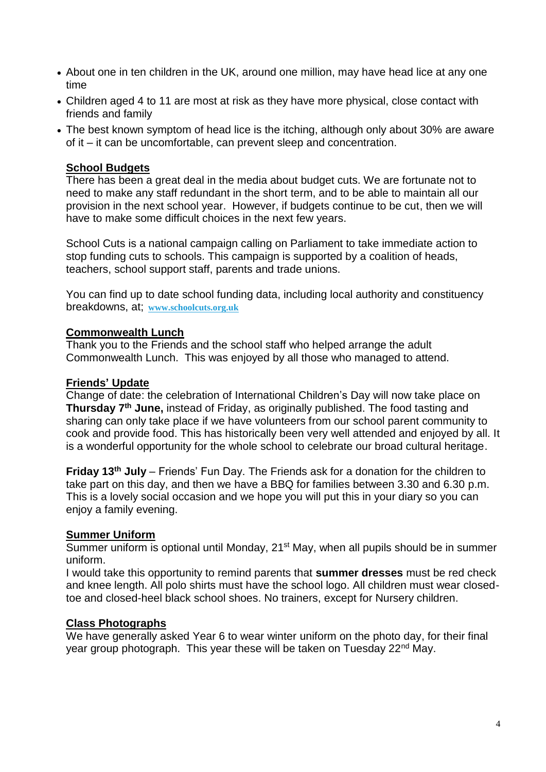- About one in ten children in the UK, around one million, may have head lice at any one time
- Children aged 4 to 11 are most at risk as they have more physical, close contact with friends and family
- The best known symptom of head lice is the itching, although only about 30% are aware of it – it can be uncomfortable, can prevent sleep and concentration.

#### **School Budgets**

There has been a great deal in the media about budget cuts. We are fortunate not to need to make any staff redundant in the short term, and to be able to maintain all our provision in the next school year. However, if budgets continue to be cut, then we will have to make some difficult choices in the next few years.

School Cuts is a national campaign calling on Parliament to take immediate action to stop funding cuts to schools. This campaign is supported by a coalition of heads, teachers, school support staff, parents and trade unions.

You can find up to date school funding data, including local authority and constituency breakdowns, at; **www.schoolcuts.org.uk** 

#### **Commonwealth Lunch**

Thank you to the Friends and the school staff who helped arrange the adult Commonwealth Lunch. This was enjoyed by all those who managed to attend.

#### **Friends' Update**

Change of date: the celebration of International Children's Day will now take place on **Thursday 7 th June,** instead of Friday, as originally published. The food tasting and sharing can only take place if we have volunteers from our school parent community to cook and provide food. This has historically been very well attended and enjoyed by all. It is a wonderful opportunity for the whole school to celebrate our broad cultural heritage.

**Friday 13th July** – Friends' Fun Day. The Friends ask for a donation for the children to take part on this day, and then we have a BBQ for families between 3.30 and 6.30 p.m. This is a lovely social occasion and we hope you will put this in your diary so you can enjoy a family evening.

#### **Summer Uniform**

Summer uniform is optional until Monday, 21<sup>st</sup> May, when all pupils should be in summer uniform.

I would take this opportunity to remind parents that **summer dresses** must be red check and knee length. All polo shirts must have the school logo. All children must wear closedtoe and closed-heel black school shoes. No trainers, except for Nursery children.

# **Class Photographs**

We have generally asked Year 6 to wear winter uniform on the photo day, for their final year group photograph. This year these will be taken on Tuesday 22<sup>nd</sup> May.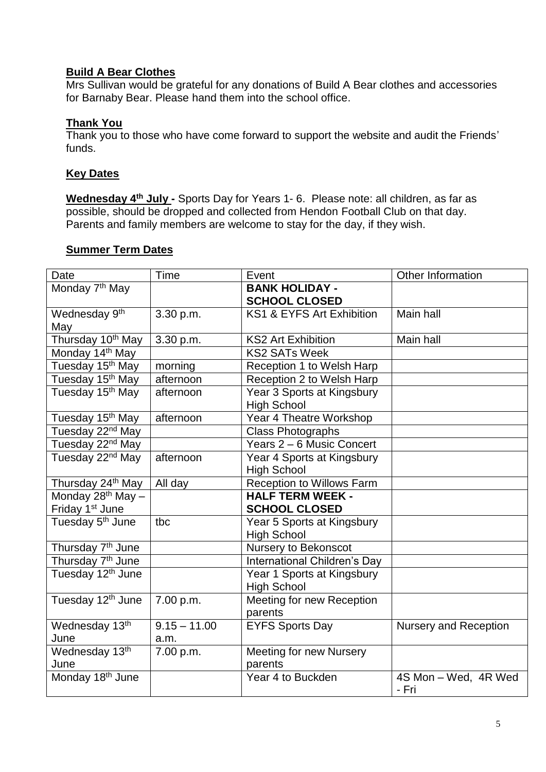# **Build A Bear Clothes**

Mrs Sullivan would be grateful for any donations of Build A Bear clothes and accessories for Barnaby Bear. Please hand them into the school office.

# **Thank You**

Thank you to those who have come forward to support the website and audit the Friends' funds.

#### **Key Dates**

**Wednesday 4th July -** Sports Day for Years 1- 6. Please note: all children, as far as possible, should be dropped and collected from Hendon Football Club on that day. Parents and family members are welcome to stay for the day, if they wish.

#### **Summer Term Dates**

| Date                             | Time                   | Event                                            | Other Information             |
|----------------------------------|------------------------|--------------------------------------------------|-------------------------------|
| Monday 7 <sup>th</sup> May       |                        | <b>BANK HOLIDAY -</b><br><b>SCHOOL CLOSED</b>    |                               |
| Wednesday 9 <sup>th</sup><br>May | 3.30 p.m.              | KS1 & EYFS Art Exhibition                        | Main hall                     |
| Thursday 10 <sup>th</sup> May    | 3.30 p.m.              | <b>KS2 Art Exhibition</b>                        | Main hall                     |
| Monday 14 <sup>th</sup> May      |                        | <b>KS2 SATs Week</b>                             |                               |
| Tuesday 15 <sup>th</sup> May     | morning                | Reception 1 to Welsh Harp                        |                               |
| Tuesday 15 <sup>th</sup> May     | afternoon              | Reception 2 to Welsh Harp                        |                               |
| Tuesday 15 <sup>th</sup> May     | afternoon              | Year 3 Sports at Kingsbury<br><b>High School</b> |                               |
| Tuesday 15 <sup>th</sup> May     | afternoon              | Year 4 Theatre Workshop                          |                               |
| Tuesday 22 <sup>nd</sup> May     |                        | <b>Class Photographs</b>                         |                               |
| Tuesday 22 <sup>nd</sup> May     |                        | Years 2 - 6 Music Concert                        |                               |
| Tuesday 22 <sup>nd</sup> May     | afternoon              | Year 4 Sports at Kingsbury<br><b>High School</b> |                               |
| Thursday 24 <sup>th</sup> May    | All day                | <b>Reception to Willows Farm</b>                 |                               |
| Monday 28 <sup>th</sup> May -    |                        | <b>HALF TERM WEEK -</b>                          |                               |
| Friday 1 <sup>st</sup> June      |                        | <b>SCHOOL CLOSED</b>                             |                               |
| Tuesday 5 <sup>th</sup> June     | tbc                    | Year 5 Sports at Kingsbury<br><b>High School</b> |                               |
| Thursday 7 <sup>th</sup> June    |                        | Nursery to Bekonscot                             |                               |
| Thursday 7 <sup>th</sup> June    |                        | International Children's Day                     |                               |
| Tuesday 12 <sup>th</sup> June    |                        | Year 1 Sports at Kingsbury<br><b>High School</b> |                               |
| Tuesday 12 <sup>th</sup> June    | 7.00 p.m.              | Meeting for new Reception<br>parents             |                               |
| Wednesday 13th<br>June           | $9.15 - 11.00$<br>a.m. | <b>EYFS Sports Day</b>                           | <b>Nursery and Reception</b>  |
| Wednesday 13th<br>June           | 7.00 p.m.              | <b>Meeting for new Nursery</b><br>parents        |                               |
| Monday 18 <sup>th</sup> June     |                        | Year 4 to Buckden                                | 4S Mon - Wed, 4R Wed<br>- Fri |